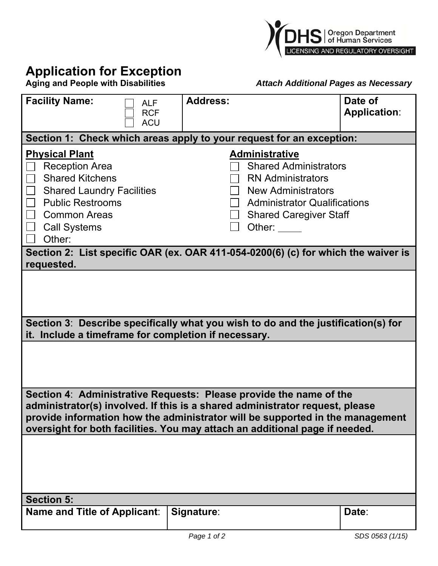

## **Application for Exception**<br>Aging and People with Disabilities

**Aging and People with Disabilities** *Attach Additional Pages as Necessary*

| <b>Facility Name:</b><br><b>ALF</b><br><b>RCF</b>                                                                                                                                                                                                                                                                  | <b>Address:</b>                                                                                                               | Date of<br><b>Application:</b> |
|--------------------------------------------------------------------------------------------------------------------------------------------------------------------------------------------------------------------------------------------------------------------------------------------------------------------|-------------------------------------------------------------------------------------------------------------------------------|--------------------------------|
| <b>ACU</b>                                                                                                                                                                                                                                                                                                         |                                                                                                                               |                                |
| <b>Physical Plant</b><br><b>Reception Area</b>                                                                                                                                                                                                                                                                     | Section 1: Check which areas apply to your request for an exception:<br><b>Administrative</b><br><b>Shared Administrators</b> |                                |
| <b>Shared Kitchens</b><br>$\mathbf{1}$<br><b>Shared Laundry Facilities</b>                                                                                                                                                                                                                                         | <b>RN Administrators</b><br><b>New Administrators</b>                                                                         |                                |
| <b>Public Restrooms</b><br><b>Common Areas</b>                                                                                                                                                                                                                                                                     | <b>Administrator Qualifications</b><br><b>Shared Caregiver Staff</b>                                                          |                                |
| <b>Call Systems</b><br>Other:                                                                                                                                                                                                                                                                                      | Other:                                                                                                                        |                                |
| Section 2: List specific OAR (ex. OAR 411-054-0200(6) (c) for which the waiver is<br>requested.                                                                                                                                                                                                                    |                                                                                                                               |                                |
|                                                                                                                                                                                                                                                                                                                    |                                                                                                                               |                                |
| Section 3: Describe specifically what you wish to do and the justification(s) for<br>it. Include a timeframe for completion if necessary.                                                                                                                                                                          |                                                                                                                               |                                |
|                                                                                                                                                                                                                                                                                                                    |                                                                                                                               |                                |
| Section 4: Administrative Requests: Please provide the name of the<br>administrator(s) involved. If this is a shared administrator request, please<br>provide information how the administrator will be supported in the management<br>oversight for both facilities. You may attach an additional page if needed. |                                                                                                                               |                                |
|                                                                                                                                                                                                                                                                                                                    |                                                                                                                               |                                |
| <b>Section 5:</b>                                                                                                                                                                                                                                                                                                  |                                                                                                                               |                                |
| Name and Title of Applicant:                                                                                                                                                                                                                                                                                       | Signature:                                                                                                                    | Date:                          |
|                                                                                                                                                                                                                                                                                                                    | Page 1 of 2                                                                                                                   | SDS 0563 (1/15)                |